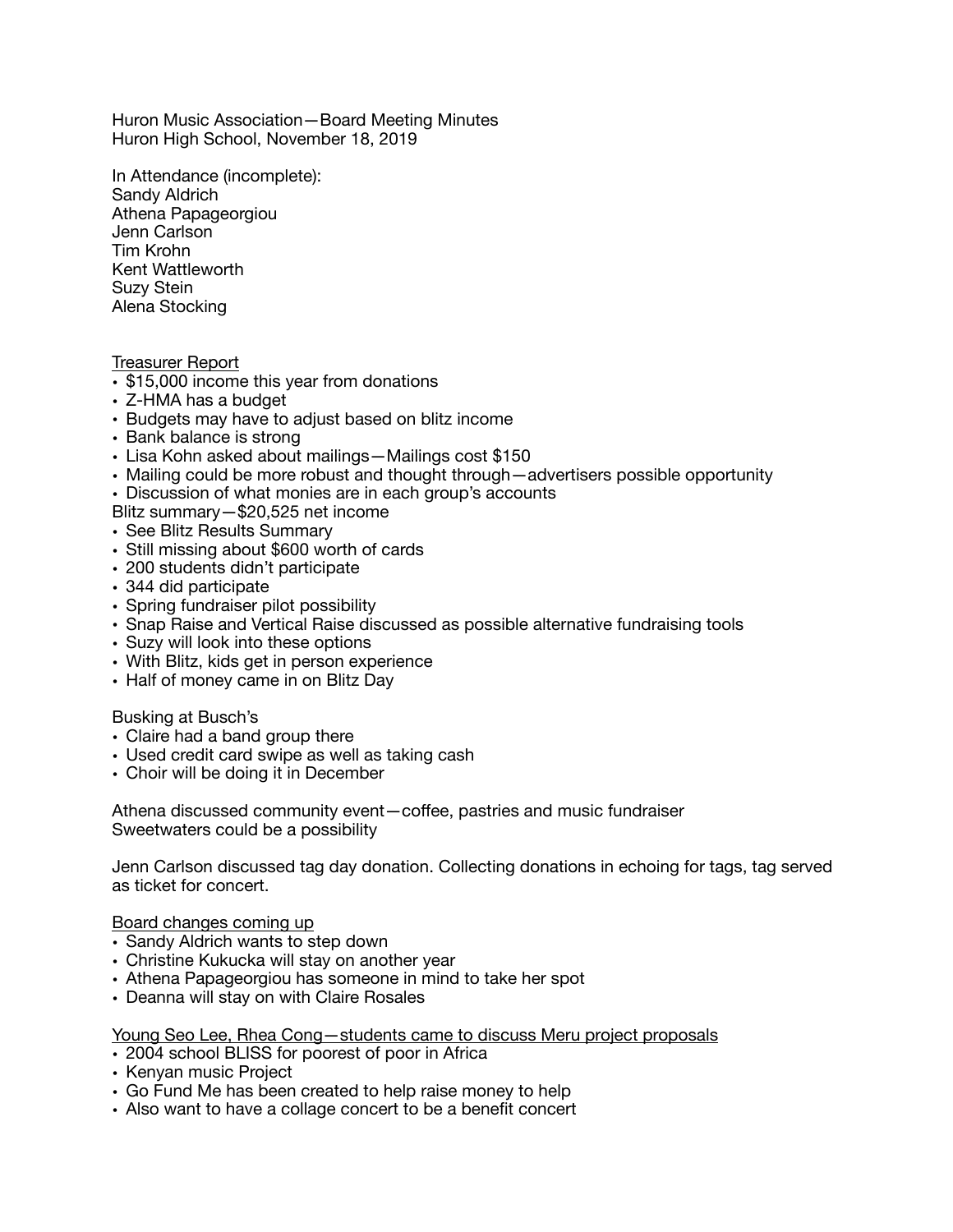Huron Music Association—Board Meeting Minutes Huron High School, November 18, 2019

In Attendance (incomplete): Sandy Aldrich Athena Papageorgiou Jenn Carlson Tim Krohn Kent Wattleworth Suzy Stein Alena Stocking

#### Treasurer Report

- \$15,000 income this year from donations
- Z-HMA has a budget
- Budgets may have to adjust based on blitz income
- Bank balance is strong
- Lisa Kohn asked about mailings—Mailings cost \$150
- Mailing could be more robust and thought through—advertisers possible opportunity
- Discussion of what monies are in each group's accounts
- Blitz summary—\$20,525 net income
- See Blitz Results Summary
- Still missing about \$600 worth of cards
- 200 students didn't participate
- 344 did participate
- Spring fundraiser pilot possibility
- Snap Raise and Vertical Raise discussed as possible alternative fundraising tools
- Suzy will look into these options
- With Blitz, kids get in person experience
- Half of money came in on Blitz Day

#### Busking at Busch's

- Claire had a band group there
- Used credit card swipe as well as taking cash
- Choir will be doing it in December

Athena discussed community event—coffee, pastries and music fundraiser Sweetwaters could be a possibility

Jenn Carlson discussed tag day donation. Collecting donations in echoing for tags, tag served as ticket for concert.

#### Board changes coming up

- Sandy Aldrich wants to step down
- Christine Kukucka will stay on another year
- Athena Papageorgiou has someone in mind to take her spot
- Deanna will stay on with Claire Rosales

# Young Seo Lee, Rhea Cong—students came to discuss Meru project proposals

- 2004 school BLISS for poorest of poor in Africa
- Kenyan music Project
- Go Fund Me has been created to help raise money to help
- Also want to have a collage concert to be a benefit concert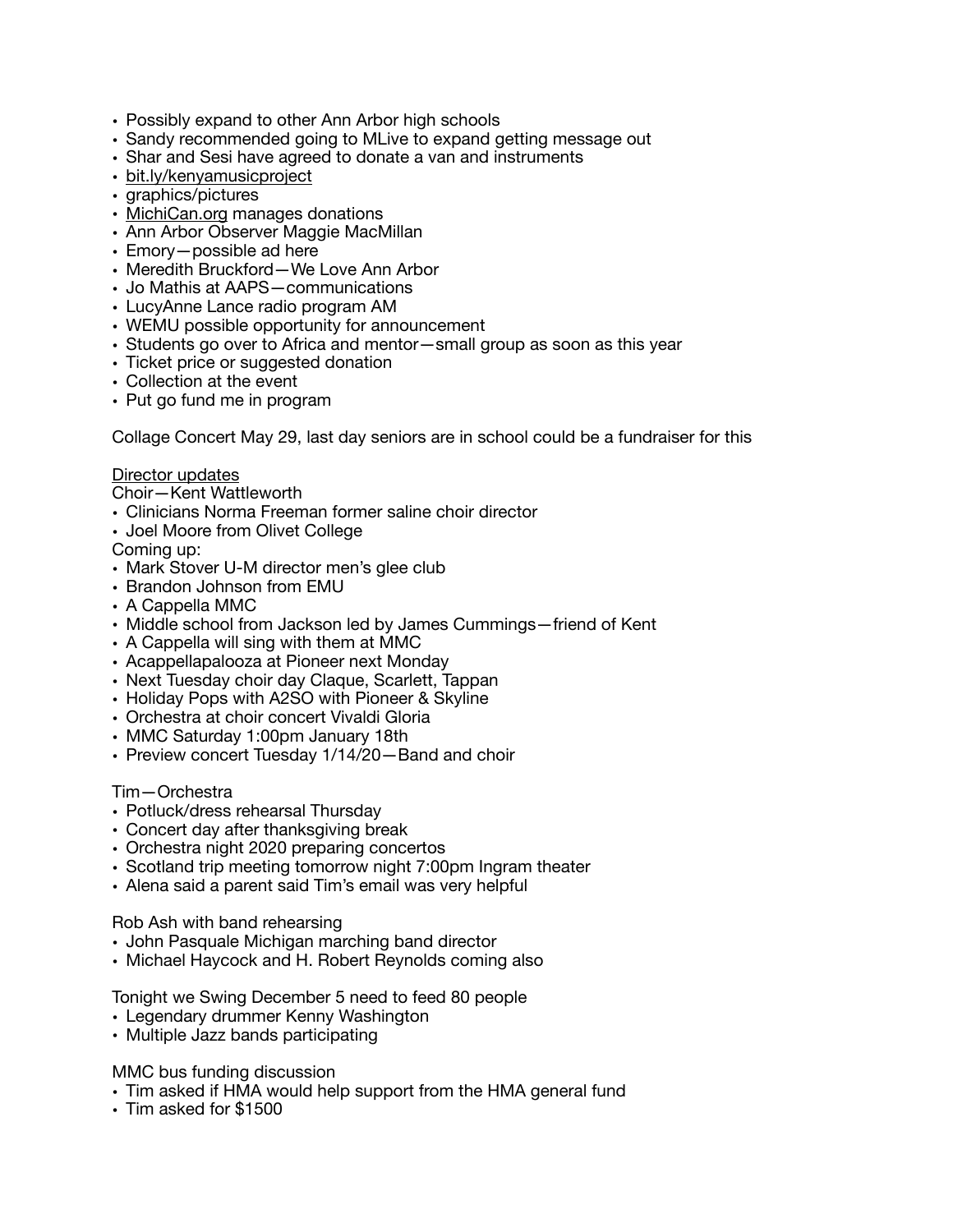- Possibly expand to other Ann Arbor high schools
- Sandy recommended going to MLive to expand getting message out
- Shar and Sesi have agreed to donate a van and instruments
- [bit.ly/kenyamusicproject](http://bit.ly/kenyamusicproject)
- graphics/pictures
- [MichiCan.org](http://MichiCan.org) manages donations
- Ann Arbor Observer Maggie MacMillan
- Emory—possible ad here
- Meredith Bruckford—We Love Ann Arbor
- Jo Mathis at AAPS—communications
- LucyAnne Lance radio program AM
- WEMU possible opportunity for announcement
- Students go over to Africa and mentor—small group as soon as this year
- Ticket price or suggested donation
- Collection at the event
- Put go fund me in program

Collage Concert May 29, last day seniors are in school could be a fundraiser for this

# Director updates

Choir—Kent Wattleworth

- Clinicians Norma Freeman former saline choir director
- Joel Moore from Olivet College

Coming up:

- Mark Stover U-M director men's glee club
- Brandon Johnson from EMU
- A Cappella MMC
- Middle school from Jackson led by James Cummings—friend of Kent
- A Cappella will sing with them at MMC
- Acappellapalooza at Pioneer next Monday
- Next Tuesday choir day Claque, Scarlett, Tappan
- Holiday Pops with A2SO with Pioneer & Skyline
- Orchestra at choir concert Vivaldi Gloria
- MMC Saturday 1:00pm January 18th
- Preview concert Tuesday 1/14/20—Band and choir

# Tim—Orchestra

- Potluck/dress rehearsal Thursday
- Concert day after thanksgiving break
- Orchestra night 2020 preparing concertos
- Scotland trip meeting tomorrow night 7:00pm Ingram theater
- Alena said a parent said Tim's email was very helpful

Rob Ash with band rehearsing

- John Pasquale Michigan marching band director
- Michael Haycock and H. Robert Reynolds coming also

Tonight we Swing December 5 need to feed 80 people

- Legendary drummer Kenny Washington
- Multiple Jazz bands participating

MMC bus funding discussion

- Tim asked if HMA would help support from the HMA general fund
- Tim asked for \$1500